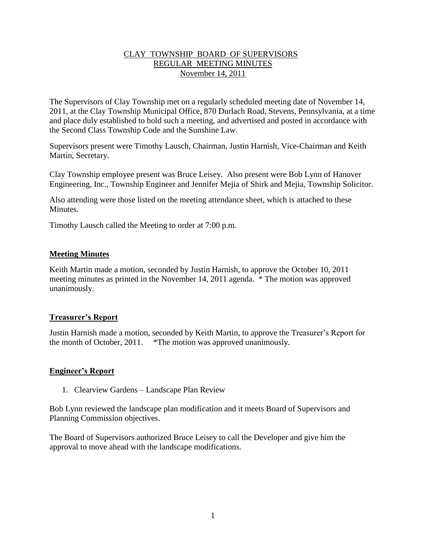# CLAY TOWNSHIP BOARD OF SUPERVISORS REGULAR MEETING MINUTES November 14, 2011

The Supervisors of Clay Township met on a regularly scheduled meeting date of November 14, 2011, at the Clay Township Municipal Office, 870 Durlach Road, Stevens, Pennsylvania, at a time and place duly established to hold such a meeting, and advertised and posted in accordance with the Second Class Township Code and the Sunshine Law.

Supervisors present were Timothy Lausch, Chairman, Justin Harnish, Vice-Chairman and Keith Martin, Secretary.

Clay Township employee present was Bruce Leisey. Also present were Bob Lynn of Hanover Engineering, Inc., Township Engineer and Jennifer Mejia of Shirk and Mejia, Township Solicitor.

Also attending were those listed on the meeting attendance sheet, which is attached to these Minutes.

Timothy Lausch called the Meeting to order at 7:00 p.m.

## **Meeting Minutes**

Keith Martin made a motion, seconded by Justin Harnish, to approve the October 10, 2011 meeting minutes as printed in the November 14, 2011 agenda. \* The motion was approved unanimously.

# **Treasurer's Report**

Justin Harnish made a motion, seconded by Keith Martin, to approve the Treasurer's Report for the month of October, 2011. \*The motion was approved unanimously.

#### **Engineer's Report**

1. Clearview Gardens – Landscape Plan Review

Bob Lynn reviewed the landscape plan modification and it meets Board of Supervisors and Planning Commission objectives.

The Board of Supervisors authorized Bruce Leisey to call the Developer and give him the approval to move ahead with the landscape modifications.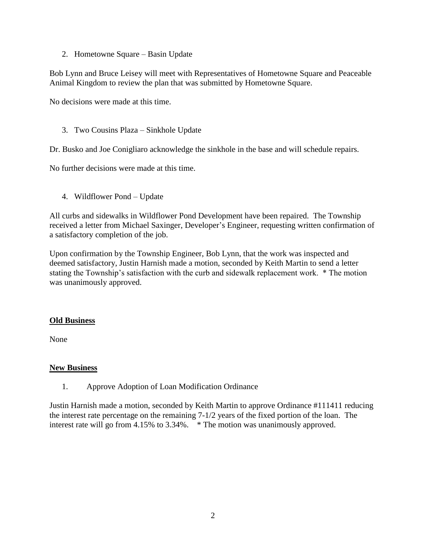2. Hometowne Square – Basin Update

Bob Lynn and Bruce Leisey will meet with Representatives of Hometowne Square and Peaceable Animal Kingdom to review the plan that was submitted by Hometowne Square.

No decisions were made at this time.

## 3. Two Cousins Plaza – Sinkhole Update

Dr. Busko and Joe Conigliaro acknowledge the sinkhole in the base and will schedule repairs.

No further decisions were made at this time.

4. Wildflower Pond – Update

All curbs and sidewalks in Wildflower Pond Development have been repaired. The Township received a letter from Michael Saxinger, Developer's Engineer, requesting written confirmation of a satisfactory completion of the job.

Upon confirmation by the Township Engineer, Bob Lynn, that the work was inspected and deemed satisfactory, Justin Harnish made a motion, seconded by Keith Martin to send a letter stating the Township's satisfaction with the curb and sidewalk replacement work. \* The motion was unanimously approved.

# **Old Business**

None

#### **New Business**

1. Approve Adoption of Loan Modification Ordinance

Justin Harnish made a motion, seconded by Keith Martin to approve Ordinance #111411 reducing the interest rate percentage on the remaining 7-1/2 years of the fixed portion of the loan. The interest rate will go from 4.15% to 3.34%. \* The motion was unanimously approved.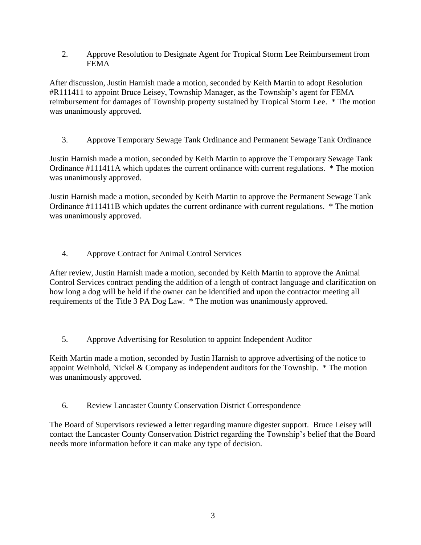2. Approve Resolution to Designate Agent for Tropical Storm Lee Reimbursement from FEMA

After discussion, Justin Harnish made a motion, seconded by Keith Martin to adopt Resolution #R111411 to appoint Bruce Leisey, Township Manager, as the Township's agent for FEMA reimbursement for damages of Township property sustained by Tropical Storm Lee. \* The motion was unanimously approved.

3. Approve Temporary Sewage Tank Ordinance and Permanent Sewage Tank Ordinance

Justin Harnish made a motion, seconded by Keith Martin to approve the Temporary Sewage Tank Ordinance #111411A which updates the current ordinance with current regulations. \* The motion was unanimously approved.

Justin Harnish made a motion, seconded by Keith Martin to approve the Permanent Sewage Tank Ordinance #111411B which updates the current ordinance with current regulations. \* The motion was unanimously approved.

4. Approve Contract for Animal Control Services

After review, Justin Harnish made a motion, seconded by Keith Martin to approve the Animal Control Services contract pending the addition of a length of contract language and clarification on how long a dog will be held if the owner can be identified and upon the contractor meeting all requirements of the Title 3 PA Dog Law. \* The motion was unanimously approved.

5. Approve Advertising for Resolution to appoint Independent Auditor

Keith Martin made a motion, seconded by Justin Harnish to approve advertising of the notice to appoint Weinhold, Nickel & Company as independent auditors for the Township. \* The motion was unanimously approved.

6. Review Lancaster County Conservation District Correspondence

The Board of Supervisors reviewed a letter regarding manure digester support. Bruce Leisey will contact the Lancaster County Conservation District regarding the Township's belief that the Board needs more information before it can make any type of decision.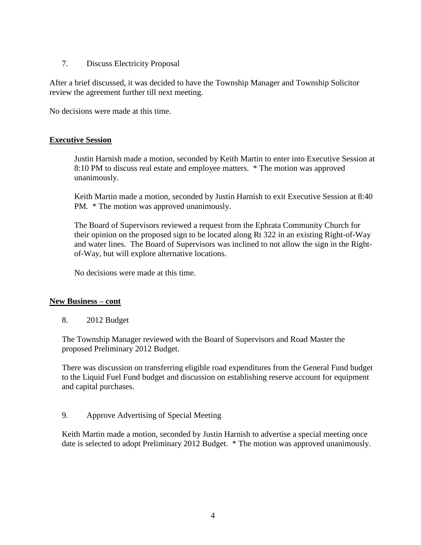## 7. Discuss Electricity Proposal

After a brief discussed, it was decided to have the Township Manager and Township Solicitor review the agreement further till next meeting.

No decisions were made at this time.

## **Executive Session**

Justin Harnish made a motion, seconded by Keith Martin to enter into Executive Session at 8:10 PM to discuss real estate and employee matters. \* The motion was approved unanimously.

Keith Martin made a motion, seconded by Justin Harnish to exit Executive Session at 8:40 PM. \* The motion was approved unanimously.

The Board of Supervisors reviewed a request from the Ephrata Community Church for their opinion on the proposed sign to be located along Rt 322 in an existing Right-of-Way and water lines. The Board of Supervisors was inclined to not allow the sign in the Rightof-Way, but will explore alternative locations.

No decisions were made at this time.

#### **New Business – cont**

8. 2012 Budget

The Township Manager reviewed with the Board of Supervisors and Road Master the proposed Preliminary 2012 Budget.

There was discussion on transferring eligible road expenditures from the General Fund budget to the Liquid Fuel Fund budget and discussion on establishing reserve account for equipment and capital purchases.

#### 9. Approve Advertising of Special Meeting

Keith Martin made a motion, seconded by Justin Harnish to advertise a special meeting once date is selected to adopt Preliminary 2012 Budget. \* The motion was approved unanimously.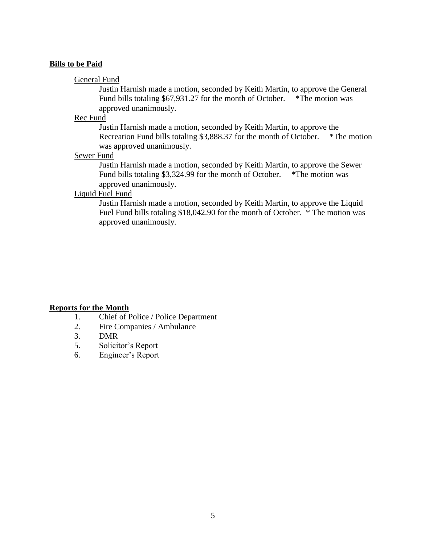#### **Bills to be Paid**

#### General Fund

Justin Harnish made a motion, seconded by Keith Martin, to approve the General Fund bills totaling \$67,931.27 for the month of October. \*The motion was approved unanimously.

#### Rec Fund

Justin Harnish made a motion, seconded by Keith Martin, to approve the Recreation Fund bills totaling \$3,888.37 for the month of October. \*The motion was approved unanimously.

#### Sewer Fund

Justin Harnish made a motion, seconded by Keith Martin, to approve the Sewer Fund bills totaling \$3,324.99 for the month of October. \*The motion was approved unanimously.

#### Liquid Fuel Fund

Justin Harnish made a motion, seconded by Keith Martin, to approve the Liquid Fuel Fund bills totaling \$18,042.90 for the month of October. \* The motion was approved unanimously.

#### **Reports for the Month**

- 1. Chief of Police / Police Department
- 2. Fire Companies / Ambulance
- 3. DMR
- 5. Solicitor's Report
- 6. Engineer's Report